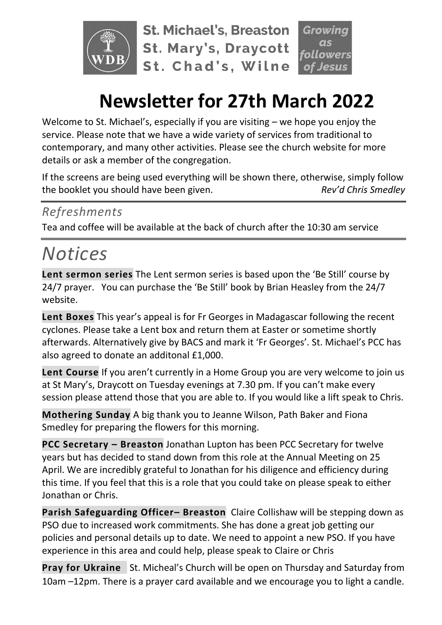

**St. Michael's, Breaston St. Mary's, Draycott** St. Chad's, Wilne owers

# **Newsletter for 27th March 2022**

Welcome to St. Michael's, especially if you are visiting – we hope you enjoy the service. Please note that we have a wide variety of services from traditional to contemporary, and many other activities. Please see the church website for more details or ask a member of the congregation.

If the screens are being used everything will be shown there, otherwise, simply follow the booklet you should have been given. *Rev'd Chris Smedley*

## *Refreshments*

Tea and coffee will be available at the back of church after the 10:30 am service

# *Notices*

**Lent sermon series** The Lent sermon series is based upon the 'Be Still' course by 24/7 prayer. You can purchase the 'Be Still' book by Brian Heasley from the 24/7 website.

**Lent Boxes** This year's appeal is for Fr Georges in Madagascar following the recent cyclones. Please take a Lent box and return them at Easter or sometime shortly afterwards. Alternatively give by BACS and mark it 'Fr Georges'. St. Michael's PCC has also agreed to donate an additonal £1,000.

**Lent Course** If you aren't currently in a Home Group you are very welcome to join us at St Mary's, Draycott on Tuesday evenings at 7.30 pm. If you can't make every session please attend those that you are able to. If you would like a lift speak to Chris.

**Mothering Sunday** A big thank you to Jeanne Wilson, Path Baker and Fiona Smedley for preparing the flowers for this morning.

**PCC Secretary – Breaston** Jonathan Lupton has been PCC Secretary for twelve years but has decided to stand down from this role at the Annual Meeting on 25 April. We are incredibly grateful to Jonathan for his diligence and efficiency during this time. If you feel that this is a role that you could take on please speak to either Jonathan or Chris.

**Parish Safeguarding Officer– Breaston** Claire Collishaw will be stepping down as PSO due to increased work commitments. She has done a great job getting our policies and personal details up to date. We need to appoint a new PSO. If you have experience in this area and could help, please speak to Claire or Chris

**Pray for Ukraine** St. Micheal's Church will be open on Thursday and Saturday from 10am –12pm. There is a prayer card available and we encourage you to light a candle.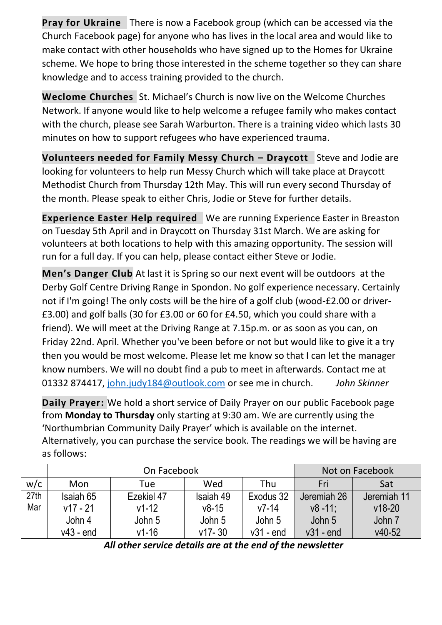**Pray for Ukraine** There is now a Facebook group (which can be accessed via the Church Facebook page) for anyone who has lives in the local area and would like to make contact with other households who have signed up to the Homes for Ukraine scheme. We hope to bring those interested in the scheme together so they can share knowledge and to access training provided to the church.

**Weclome Churches** St. Michael's Church is now live on the Welcome Churches Network. If anyone would like to help welcome a refugee family who makes contact with the church, please see Sarah Warburton. There is a training video which lasts 30 minutes on how to support refugees who have experienced trauma.

**Volunteers needed for Family Messy Church – Draycott** Steve and Jodie are looking for volunteers to help run Messy Church which will take place at Draycott Methodist Church from Thursday 12th May. This will run every second Thursday of the month. Please speak to either Chris, Jodie or Steve for further details.

**Experience Easter Help required** We are running Experience Easter in Breaston on Tuesday 5th April and in Draycott on Thursday 31st March. We are asking for volunteers at both locations to help with this amazing opportunity. The session will run for a full day. If you can help, please contact either Steve or Jodie.

**Men's Danger Club** At last it is Spring so our next event will be outdoors at the Derby Golf Centre Driving Range in Spondon. No golf experience necessary. Certainly not if I'm going! The only costs will be the hire of a golf club (wood-£2.00 or driver- £3.00) and golf balls (30 for £3.00 or 60 for £4.50, which you could share with a friend). We will meet at the Driving Range at 7.15p.m. or as soon as you can, on Friday 22nd. April. Whether you've been before or not but would like to give it a try then you would be most welcome. Please let me know so that I can let the manager know numbers. We will no doubt find a pub to meet in afterwards. Contact me at 01332 874417, [john.judy184@outlook.com](mailto:john.judy184@outlook.com) or see me in church. *John Skinner*

**Daily Prayer:** We hold a short service of Daily Prayer on our public Facebook page from **Monday to Thursday** only starting at 9:30 am. We are currently using the 'Northumbrian Community Daily Prayer' which is available on the internet. Alternatively, you can purchase the service book. The readings we will be having are as follows:

|      |             | On Facebook | Not on Facebook |             |             |             |
|------|-------------|-------------|-----------------|-------------|-------------|-------------|
| w/c  | Mon         | Tue         | Wed             | Thu         | Fri         | Sat         |
| 27th | Isaiah 65   | Ezekiel 47  | Isaiah 49       | Exodus 32   | Jeremiah 26 | Jeremiah 11 |
| Mar  | $v17 - 21$  | $v1-12$     | $v8-15$         | $v7-14$     | $v8 - 11$ : | $v18-20$    |
|      | John 4      | John 5      | John 5          | John 5      | John 5      | John 7      |
|      | $v43 - end$ | $v1 - 16$   | $v17 - 30$      | $v31 - end$ | $v31 - end$ | $v40-52$    |

*All other service details are at the end of the newsletter*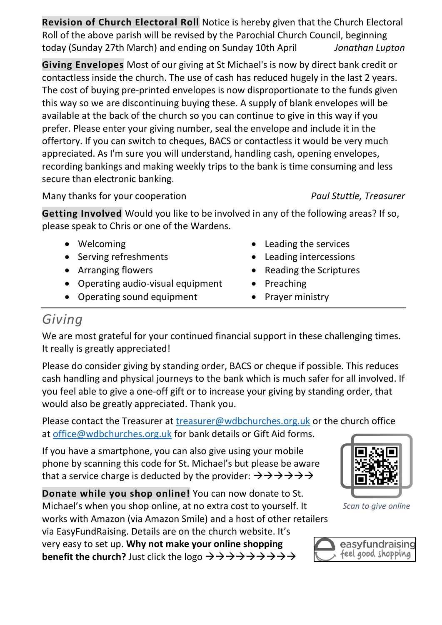**Revision of Church Electoral Roll** Notice is hereby given that the Church Electoral Roll of the above parish will be revised by the Parochial Church Council, beginning today (Sunday 27th March) and ending on Sunday 10th April *Jonathan Lupton*

**Giving Envelopes** Most of our giving at St Michael's is now by direct bank credit or contactless inside the church. The use of cash has reduced hugely in the last 2 years. The cost of buying pre-printed envelopes is now disproportionate to the funds given this way so we are discontinuing buying these. A supply of blank envelopes will be available at the back of the church so you can continue to give in this way if you prefer. Please enter your giving number, seal the envelope and include it in the offertory. If you can switch to cheques, BACS or contactless it would be very much appreciated. As I'm sure you will understand, handling cash, opening envelopes, recording bankings and making weekly trips to the bank is time consuming and less secure than electronic banking.

Many thanks for your cooperation *Paul Stuttle, Treasurer*

**Getting Involved** Would you like to be involved in any of the following areas? If so, please speak to Chris or one of the Wardens.

- Welcoming
- Serving refreshments
- Arranging flowers
- Operating audio-visual equipment
- Operating sound equipment
- Leading the services
- Leading intercessions
- Reading the Scriptures
- Preaching
- Prayer ministry

## *Giving*

We are most grateful for your continued financial support in these challenging times. It really is greatly appreciated!

Please do consider giving by standing order, BACS or cheque if possible. This reduces cash handling and physical journeys to the bank which is much safer for all involved. If you feel able to give a one-off gift or to increase your giving by standing order, that would also be greatly appreciated. Thank you.

Please contact the Treasurer at [treasurer@wdbchurches.org.uk](mailto:treasurer@wdbchurches.org.uk) or the church office at [office@wdbchurches.org.uk](mailto:office@wdbchurches.org.uk) for bank details or Gift Aid forms.

If you have a smartphone, you can also give using your mobile phone by scanning this code for St. Michael's but please be aware that a service charge is deducted by the provider:  $\rightarrow \rightarrow \rightarrow \rightarrow \rightarrow \rightarrow$ 

**Donate while you shop online!** You can now donate to St. Michael's when you shop online, at no extra cost to yourself. It works with Amazon (via Amazon Smile) and a host of other retailers

via EasyFundRaising. Details are on the [church website](http://www.stmichaelsbreaston.org.uk/index.php/113-news/236-giving-online). It's very easy to set up. **Why not make your online shopping benefit the church?** Just click the logo →→→→→→→→→



*Scan to give online*